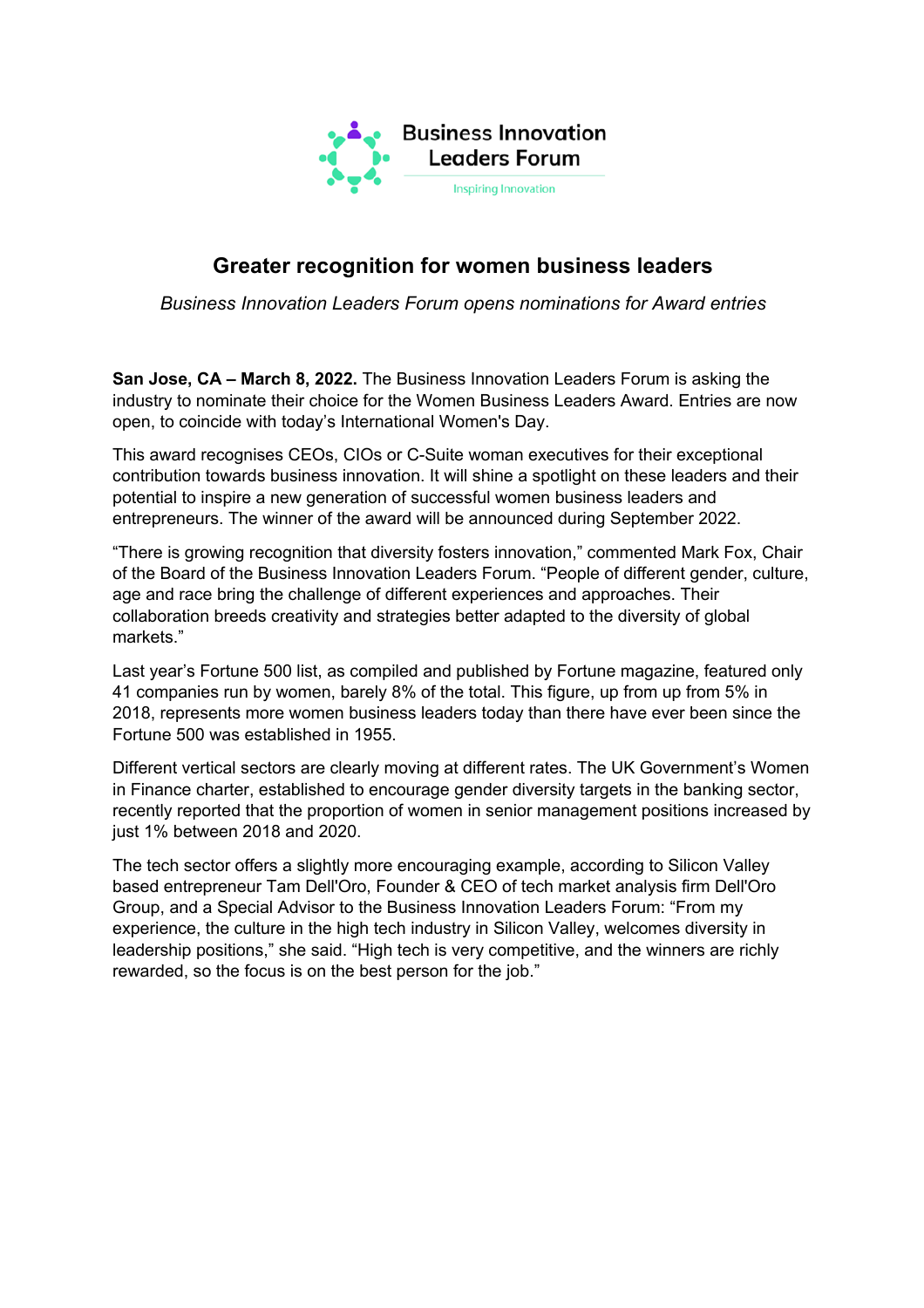

## **Greater recognition for women business leaders**

*Business Innovation Leaders Forum opens nominations for Award entries*

**San Jose, CA – March 8, 2022.** The Business Innovation Leaders Forum is asking the industry to nominate their choice for the Women Business Leaders Award. Entries are now open, to coincide with today's International Women's Day.

This award recognises CEOs, CIOs or C-Suite woman executives for their exceptional contribution towards business innovation. It will shine a spotlight on these leaders and their potential to inspire a new generation of successful women business leaders and entrepreneurs. The winner of the award will be announced during September 2022.

"There is growing recognition that diversity fosters innovation," commented Mark Fox, Chair of the Board of the Business Innovation Leaders Forum. "People of different gender, culture, age and race bring the challenge of different experiences and approaches. Their collaboration breeds creativity and strategies better adapted to the diversity of global markets."

Last year's Fortune 500 list, as compiled and published by Fortune magazine, featured only 41 companies run by women, barely 8% of the total. This figure, up from up from 5% in 2018, represents more women business leaders today than there have ever been since the Fortune 500 was established in 1955.

Different vertical sectors are clearly moving at different rates. The UK Government's Women in Finance charter, established to encourage gender diversity targets in the banking sector, recently reported that the proportion of women in senior management positions increased by just 1% between 2018 and 2020.

The tech sector offers a slightly more encouraging example, according to Silicon Valley based entrepreneur Tam Dell'Oro, Founder & CEO of tech market analysis firm Dell'Oro Group, and a Special Advisor to the Business Innovation Leaders Forum: "From my experience, the culture in the high tech industry in Silicon Valley, welcomes diversity in leadership positions," she said. "High tech is very competitive, and the winners are richly rewarded, so the focus is on the best person for the job."